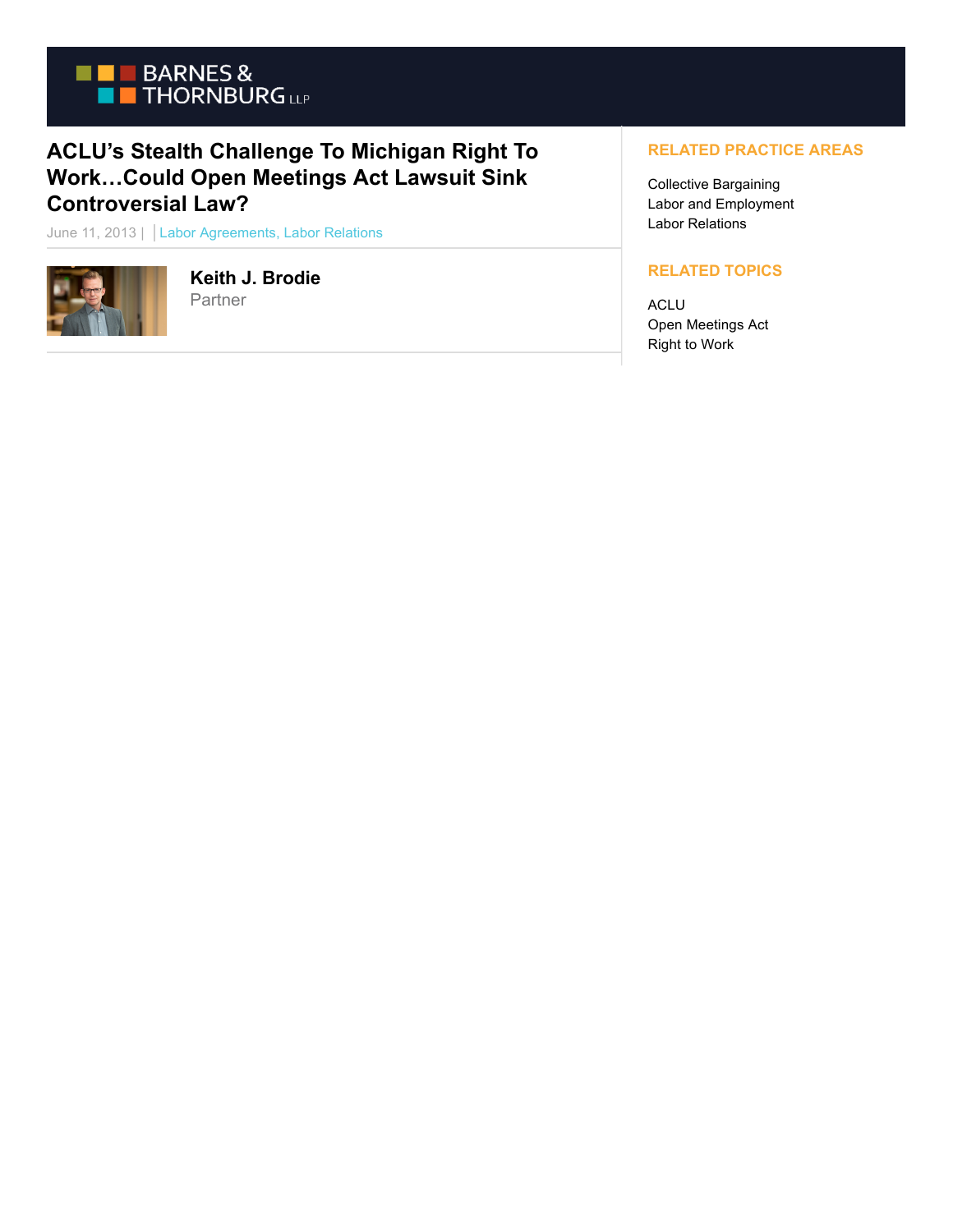

## **ACLU's Stealth Challenge To Michigan Right To Work…Could Open Meetings Act Lawsuit Sink Controversial Law?**

June 11, 2013 | Labor Agreements, Labor Relations



**Keith J. Brodie** Partner

## **RELATED PRACTICE AREAS**

Collective Bargaining Labor and Employment Labor Relations

## **RELATED TOPICS**

ACLU Open Meetings Act Right to Work